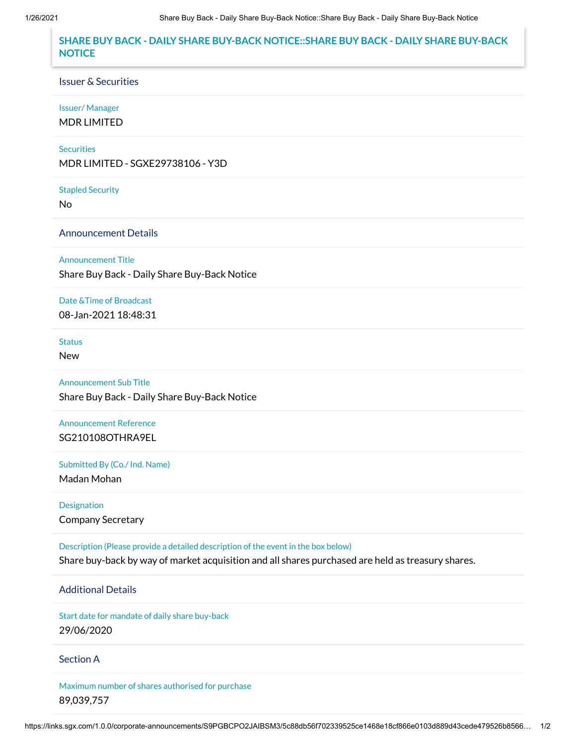# **SHARE BUY BACK - DAILY SHARE BUY-BACK NOTICE::SHARE BUY BACK - DAILY SHARE BUY-BACK NOTICE**

#### Issuer & Securities

## Issuer/ Manager

MDR LIMITED

### **Securities**

MDR LIMITED - SGXE29738106 - Y3D

#### Stapled Security

No

## Announcement Details

#### Announcement Title

Share Buy Back - Daily Share Buy-Back Notice

### Date &Time of Broadcast

08-Jan-2021 18:48:31

# **Status**

New

## Announcement Sub Title

Share Buy Back - Daily Share Buy-Back Notice

# Announcement Reference SG210108OTHRA9EL

Submitted By (Co./ Ind. Name)

Madan Mohan

# Designation Company Secretary

Description (Please provide a detailed description of the event in the box below) Share buy-back by way of market acquisition and all shares purchased are held as treasury shares.

## Additional Details

Start date for mandate of daily share buy-back 29/06/2020

### Section A

Maximum number of shares authorised for purchase 89,039,757